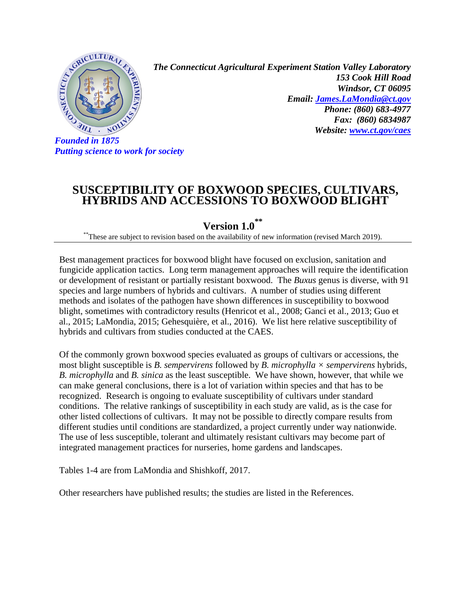

*Putting science to work for society*

*The Connecticut Agricultural Experiment Station Valley Laboratory 153 Cook Hill Road Windsor, CT 06095 Email: [James.LaMondia@ct.gov](mailto:James.LaMondia@ct.gov) Phone: (860) 683-4977 Fax: (860) 6834987 Website: [www.ct.gov/caes](http://www.ct.gov/caes)*

## **SUSCEPTIBILITY OF BOXWOOD SPECIES, CULTIVARS, HYBRIDS AND ACCESSIONS TO BOXWOOD BLIGHT**

**Version 1.0 \*\***

\*\*These are subject to revision based on the availability of new information (revised March 2019).

Best management practices for boxwood blight have focused on exclusion, sanitation and fungicide application tactics. Long term management approaches will require the identification or development of resistant or partially resistant boxwood. The *Buxus* genus is diverse, with 91 species and large numbers of hybrids and cultivars. A number of studies using different methods and isolates of the pathogen have shown differences in susceptibility to boxwood blight, sometimes with contradictory results (Henricot et al., 2008; Ganci et al., 2013; Guo et al., 2015; LaMondia, 2015; Gehesquière, et al., 2016). We list here relative susceptibility of hybrids and cultivars from studies conducted at the CAES.

Of the commonly grown boxwood species evaluated as groups of cultivars or accessions, the most blight susceptible is *B. sempervirens* followed by *B. microphylla × sempervirens* hybrids, *B. microphylla* and *B. sinica* as the least susceptible. We have shown, however, that while we can make general conclusions, there is a lot of variation within species and that has to be recognized. Research is ongoing to evaluate susceptibility of cultivars under standard conditions. The relative rankings of susceptibility in each study are valid, as is the case for other listed collections of cultivars. It may not be possible to directly compare results from different studies until conditions are standardized, a project currently under way nationwide. The use of less susceptible, tolerant and ultimately resistant cultivars may become part of integrated management practices for nurseries, home gardens and landscapes.

Tables 1-4 are from LaMondia and Shishkoff, 2017.

Other researchers have published results; the studies are listed in the References.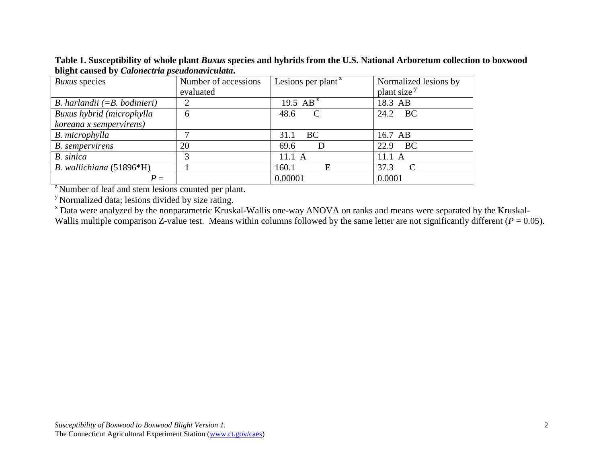**Table 1. Susceptibility of whole plant** *Buxus* **species and hybrids from the U.S. National Arboretum collection to boxwood blight caused by** *Calonectria pseudonaviculata***.**

| Buxus species                  | Number of accessions | Lesions per plant <sup><math>z</math></sup> | Normalized lesions by   |
|--------------------------------|----------------------|---------------------------------------------|-------------------------|
|                                | evaluated            |                                             | plant size <sup>y</sup> |
| B. harlandii $(=B.~bodinieri)$ | ↑                    | 19.5 AB <sup>x</sup>                        | 18.3 AB                 |
| Buxus hybrid (microphylla      | 6                    | 48.6<br>$\mathbf C$                         | 24.2 BC                 |
| koreana x sempervirens)        |                      |                                             |                         |
| B. microphylla                 |                      | <b>BC</b><br>31.1                           | 16.7 AB                 |
| <b>B.</b> sempervirens         | 20                   | 69.6                                        | <b>BC</b><br>22.9       |
| B. sinica                      |                      | 11.1 A                                      | $11.1\text{ A}$         |
| B. wallichiana (51896*H)       |                      | 160.1<br>E                                  | 37.3<br>$\mathbf C$     |
| $P =$                          |                      | 0.00001                                     | 0.0001                  |

<sup>2</sup> Number of leaf and stem lesions counted per plant.

y Normalized data; lesions divided by size rating.

<sup>x</sup> Data were analyzed by the nonparametric Kruskal-Wallis one-way ANOVA on ranks and means were separated by the Kruskal-Wallis multiple comparison Z-value test. Means within columns followed by the same letter are not significantly different  $(P = 0.05)$ .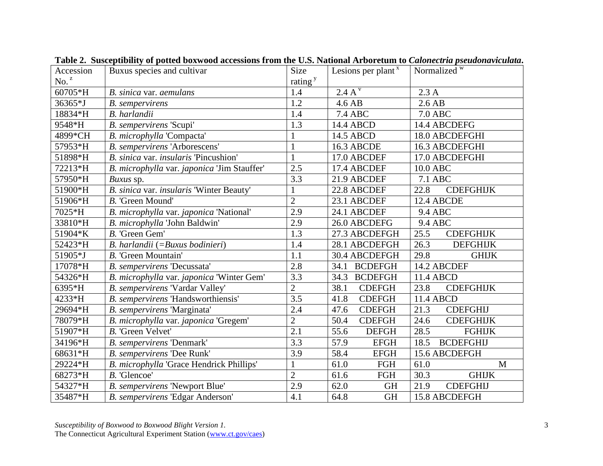| Accession        | Buxus species and cultivar                  | <b>Size</b>         | Lesions per plant $x$  | Normalized $\overline{w}$ |  |
|------------------|---------------------------------------------|---------------------|------------------------|---------------------------|--|
| No. <sup>z</sup> |                                             | rating <sup>y</sup> |                        |                           |  |
| 60705*H          | B. sinica var. aemulans                     | 1.4                 | 2.4 A <sup>v</sup>     | 2.3A                      |  |
| 36365*J          | <b>B.</b> sempervirens                      | 1.2                 | 4.6 AB                 | $2.6$ AB                  |  |
| 18834*H          | B. harlandii                                | 1.4                 | <b>7.4 ABC</b>         | <b>7.0 ABC</b>            |  |
| 9548*H           | B. sempervirens 'Scupi'                     | 1.3                 | 14.4 ABCD              | 14.4 ABCDEFG              |  |
| 4899*CH          | B. microphylla 'Compacta'                   | 1                   | 14.5 ABCD              | 18.0 ABCDEFGHI            |  |
| 57953*H          | B. sempervirens 'Arborescens'               | $\mathbf{1}$        | 16.3 ABCDE             | 16.3 ABCDEFGHI            |  |
| 51898*H          | B. sinica var. insularis 'Pincushion'       | $\mathbf{1}$        | 17.0 ABCDEF            | 17.0 ABCDEFGHI            |  |
| 72213*H          | B. microphylla var. japonica 'Jim Stauffer' | 2.5                 | 17.4 ABCDEF            | 10.0 ABC                  |  |
| 57950*H          | Buxus sp.                                   | 3.3                 | 21.9 ABCDEF            | 7.1 ABC                   |  |
| 51900*H          | B. sinica var. insularis 'Winter Beauty'    | $\mathbf{1}$        | 22.8 ABCDEF            | <b>CDEFGHIJK</b><br>22.8  |  |
| 51906*H          | B. 'Green Mound'                            | $\overline{2}$      | 23.1 ABCDEF            | 12.4 ABCDE                |  |
| 7025*H           | B. microphylla var. japonica 'National'     | 2.9                 | 24.1 ABCDEF            | 9.4 ABC                   |  |
| 33810*H          | B. microphylla 'John Baldwin'               | 2.9                 | 26.0 ABCDEFG           | <b>9.4 ABC</b>            |  |
| 51904*K          | B. 'Green Gem'                              | 1.3                 | 27.3 ABCDEFGH          | 25.5<br><b>CDEFGHIJK</b>  |  |
| 52423*H          | B. harlandii (=Buxus bodinieri)             | 1.4                 | 28.1 ABCDEFGH          | 26.3<br><b>DEFGHIJK</b>   |  |
| 51905*J          | B. 'Green Mountain'                         | 1.1                 | 30.4 ABCDEFGH          | 29.8<br><b>GHIJK</b>      |  |
| 17078*H          | B. sempervirens 'Decussata'                 | 2.8                 | <b>BCDEFGH</b><br>34.1 | 14.2 ABCDEF               |  |
| 54326*H          | B. microphylla var. japonica 'Winter Gem'   | 3.3                 | 34.3<br><b>BCDEFGH</b> | 11.4 ABCD                 |  |
| 6395*H           | B. sempervirens 'Vardar Valley'             | $\overline{2}$      | 38.1<br><b>CDEFGH</b>  | 23.8<br><b>CDEFGHIJK</b>  |  |
| 4233*H           | B. sempervirens 'Handsworthiensis'          | 3.5                 | 41.8<br><b>CDEFGH</b>  | 11.4 ABCD                 |  |
| 29694*H          | B. sempervirens 'Marginata'                 | 2.4                 | 47.6<br><b>CDEFGH</b>  | 21.3<br><b>CDEFGHIJ</b>   |  |
| 78079*H          | B. microphylla var. japonica 'Gregem'       | $\overline{2}$      | 50.4<br><b>CDEFGH</b>  | <b>CDEFGHIJK</b><br>24.6  |  |
| 51907*H          | B. 'Green Velvet'                           | 2.1                 | 55.6<br><b>DEFGH</b>   | 28.5<br><b>FGHIJK</b>     |  |
| 34196*H          | B. sempervirens 'Denmark'                   | 3.3                 | 57.9<br><b>EFGH</b>    | <b>BCDEFGHIJ</b><br>18.5  |  |
| 68631*H          | B. sempervirens 'Dee Runk'                  | 3.9                 | 58.4<br><b>EFGH</b>    | 15.6 ABCDEFGH             |  |
| 29224*H          | B. microphylla 'Grace Hendrick Phillips'    | $\mathbf{1}$        | 61.0<br>FGH            | 61.0<br>M                 |  |
| 68273*H          | B. 'Glencoe'                                | $\overline{2}$      | 61.6<br>FGH            | 30.3<br><b>GHIJK</b>      |  |
| 54327*H          | B. sempervirens 'Newport Blue'              | 2.9                 | 62.0<br><b>GH</b>      | <b>CDEFGHIJ</b><br>21.9   |  |
| 35487*H          | B. sempervirens 'Edgar Anderson'            | 4.1                 | 64.8<br><b>GH</b>      | 15.8 ABCDEFGH             |  |

**Table 2. Susceptibility of potted boxwood accessions from the U.S. National Arboretum to** *Calonectria pseudonaviculata***.**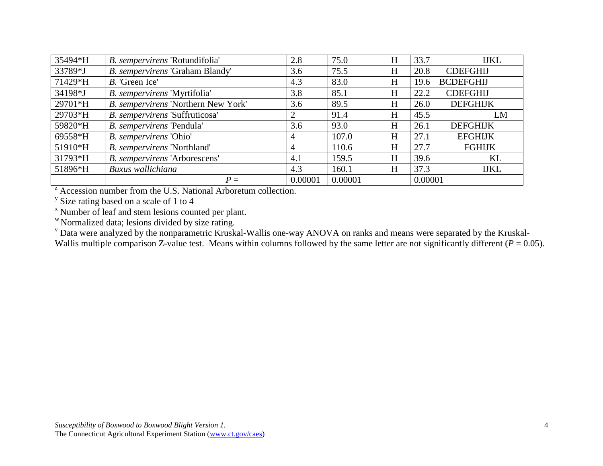| 35494*H | B. sempervirens 'Rotundifolia'      | 2.8     | 75.0    | H         | 33.7    | <b>IJKL</b>      |
|---------|-------------------------------------|---------|---------|-----------|---------|------------------|
| 33789*J | B. sempervirens 'Graham Blandy'     | 3.6     | 75.5    | $H_{\rm}$ | 20.8    | <b>CDEFGHIJ</b>  |
| 71429*H | B. 'Green Ice'                      | 4.3     | 83.0    | $H_{\rm}$ | 19.6    | <b>BCDEFGHIJ</b> |
| 34198*J | B. sempervirens 'Myrtifolia'        | 3.8     | 85.1    | H         | 22.2    | <b>CDEFGHIJ</b>  |
| 29701*H | B. sempervirens 'Northern New York' | 3.6     | 89.5    | H         | 26.0    | <b>DEFGHIJK</b>  |
| 29703*H | B. sempervirens 'Suffruticosa'      | 2       | 91.4    | H         | 45.5    | LM               |
| 59820*H | B. sempervirens 'Pendula'           | 3.6     | 93.0    | H         | 26.1    | <b>DEFGHIJK</b>  |
| 69558*H | B. sempervirens 'Ohio'              | 4       | 107.0   | $H_{\rm}$ | 27.1    | <b>EFGHIJK</b>   |
| 51910*H | B. sempervirens 'Northland'         | 4       | 110.6   | H         | 27.7    | <b>FGHIJK</b>    |
| 31793*H | B. sempervirens 'Arborescens'       | 4.1     | 159.5   | H         | 39.6    | KL               |
| 51896*H | Buxus wallichiana                   | 4.3     | 160.1   | H         | 37.3    | <b>IJKL</b>      |
|         | $P =$                               | 0.00001 | 0.00001 |           | 0.00001 |                  |

<sup>2</sup> Accession number from the U.S. National Arboretum collection.

<sup>y</sup> Size rating based on a scale of 1 to 4

<sup>x</sup> Number of leaf and stem lesions counted per plant.

w Normalized data; lesions divided by size rating.

<sup>v</sup> Data were analyzed by the nonparametric Kruskal-Wallis one-way ANOVA on ranks and means were separated by the Kruskal-

Wallis multiple comparison Z-value test. Means within columns followed by the same letter are not significantly different ( $P = 0.05$ ).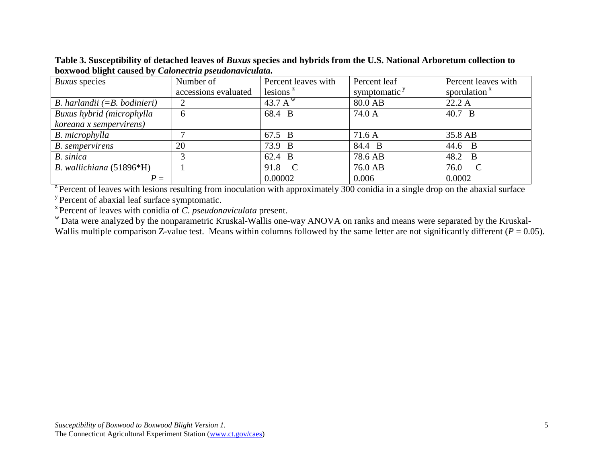*Buxus* species Number of accessions evaluated Percent leaves with lesions  $z$ Percent leaf symptomatic  $y$ Percent leaves with sporulation $x$ *B. harlandii* (=*B. bodinieri*) 2 43.7 A w 80.0 AB 22.2 A *Buxus hybrid (microphylla koreana x sempervirens)* 6 6 6 68.4 B 74.0 A 40.7 B *B. microphylla* 7 67.5 B 7 35.8 AB *B. sempervirens* 20 73.9 B 84.4 B 44.6 B *B. sinica* 1 3 62.4 B 78.6 AB 48.2 B *B. wallichiana* (51896\*H) 1 91.8 C 76.0 AB 76.0 C *<sup>P</sup>* <sup>=</sup> 0.00002 0.006 0.0002 <sup>z</sup> Percent of leaves with lesions resulting from inoculation with approximately 300 conidia in a single drop on the abaxial surface

**Table 3. Susceptibility of detached leaves of** *Buxus* **species and hybrids from the U.S. National Arboretum collection to boxwood blight caused by** *Calonectria pseudonaviculata***.**

<sup>y</sup> Percent of abaxial leaf surface symptomatic.<br>
<sup>x</sup> Percent of leaves with conidia of *C. pseudonaviculata* present.<br>
<sup>w</sup> Data were analyzed by the nonparametric Kruskal-Wallis one-way ANOVA on ranks and means were sepa Wallis multiple comparison Z-value test. Means within columns followed by the same letter are not significantly different  $(P = 0.05)$ .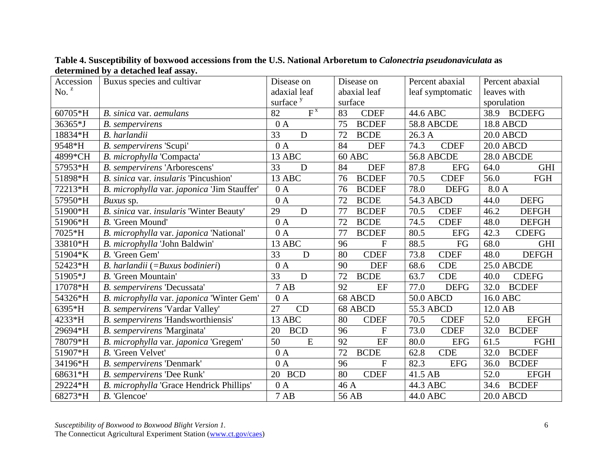| Accession | Buxus species and cultivar                  | Disease on               | Disease on                              | Percent abaxial     | Percent abaxial       |  |
|-----------|---------------------------------------------|--------------------------|-----------------------------------------|---------------------|-----------------------|--|
| No. $z$   |                                             | adaxial leaf             | abaxial leaf                            | leaf symptomatic    | leaves with           |  |
|           |                                             | surface <sup>y</sup>     | surface                                 |                     | sporulation           |  |
| 60705*H   | B. sinica var. aemulans                     | $F^{\overline{X}}$<br>82 | 83<br><b>CDEF</b>                       | 44.6 ABC            | 38.9<br><b>BCDEFG</b> |  |
| 36365*J   | <b>B.</b> sempervirens                      | 0A                       | 75<br><b>BCDEF</b><br><b>58.8 ABCDE</b> |                     | <b>18.8 ABCD</b>      |  |
| 18834*H   | B. harlandii                                | D<br>33                  | 72<br><b>BCDE</b>                       | 26.3A               | <b>20.0 ABCD</b>      |  |
| 9548*H    | B. sempervirens 'Scupi'                     | 0A                       | 84<br><b>DEF</b>                        | 74.3<br><b>CDEF</b> |                       |  |
| 4899*CH   | B. microphylla 'Compacta'                   | 13 ABC                   | $60$ ABC                                | <b>56.8 ABCDE</b>   | 28.0 ABCDE            |  |
| 57953*H   | B. sempervirens 'Arborescens'               | 33<br>D                  | 84<br><b>DEF</b>                        | 87.8<br><b>EFG</b>  | 64.0<br><b>GHI</b>    |  |
| 51898*H   | B. sinica var. insularis 'Pincushion'       | 13 ABC                   | <b>BCDEF</b><br>76                      | 70.5<br><b>CDEF</b> | 56.0<br>FGH           |  |
| 72213*H   | B. microphylla var. japonica 'Jim Stauffer' | 0A                       | 76<br><b>BCDEF</b>                      | 78.0<br><b>DEFG</b> | 8.0 A                 |  |
| 57950*H   | Buxus sp.                                   | 0A                       | <b>BCDE</b><br>72                       | 54.3 ABCD           | 44.0<br><b>DEFG</b>   |  |
| 51900*H   | B. sinica var. insularis 'Winter Beauty'    | 29<br>D                  | 77<br><b>BCDEF</b>                      | 70.5<br><b>CDEF</b> | 46.2<br><b>DEFGH</b>  |  |
| 51906*H   | B. 'Green Mound'                            | 0A                       | 72<br><b>BCDE</b>                       | 74.5<br><b>CDEF</b> | 48.0<br><b>DEFGH</b>  |  |
| 7025*H    | B. microphylla var. japonica 'National'     | 0A                       | 77<br><b>BCDEF</b>                      | 80.5<br><b>EFG</b>  | 42.3<br><b>CDEFG</b>  |  |
| 33810*H   | B. microphylla 'John Baldwin'               | 13 ABC                   | $\mathbf{F}$<br>96                      | 88.5<br>FG          | 68.0<br><b>GHI</b>    |  |
| 51904*K   | B. 'Green Gem'                              | 33<br>D                  | 80<br><b>CDEF</b>                       | 73.8<br><b>CDEF</b> | <b>DEFGH</b><br>48.0  |  |
| 52423*H   | B. harlandii (=Buxus bodinieri)             | $\overline{0 A}$         | <b>DEF</b><br>90                        | 68.6<br><b>CDE</b>  | 25.0 ABCDE            |  |
| 51905*J   | B. 'Green Mountain'                         | 33<br>D                  | 72<br><b>BCDE</b>                       | 63.7<br><b>CDE</b>  | <b>CDEFG</b><br>40.0  |  |
| 17078*H   | B. sempervirens 'Decussata'                 | 7AB                      | 92<br>EF                                | 77.0<br><b>DEFG</b> | <b>BCDEF</b><br>32.0  |  |
| 54326*H   | B. microphylla var. japonica 'Winter Gem'   | 0A                       | 68 ABCD                                 | 50.0 ABCD           | 16.0 ABC              |  |
| 6395*H    | B. sempervirens 'Vardar Valley'             | 27<br>CD                 | 68 ABCD                                 | 55.3 ABCD           | 12.0 AB               |  |
| 4233*H    | B. sempervirens 'Handsworthiensis'          | 13 ABC                   | 80<br><b>CDEF</b>                       | 70.5<br><b>CDEF</b> | 52.0<br><b>EFGH</b>   |  |
| 29694*H   | B. sempervirens 'Marginata'                 | 20<br><b>BCD</b>         | 96<br>$\mathbf{F}$                      | 73.0<br><b>CDEF</b> | 32.0<br><b>BCDEF</b>  |  |
| 78079*H   | B. microphylla var. japonica 'Gregem'       | 50<br>${\bf E}$          | 92<br>EF                                | 80.0<br><b>EFG</b>  | FGHI<br>61.5          |  |
| 51907*H   | B. 'Green Velvet'                           | 0A                       | <b>BCDE</b><br>72                       | <b>CDE</b><br>62.8  | <b>BCDEF</b><br>32.0  |  |
| 34196*H   | B. sempervirens 'Denmark'                   | 0A                       | $\overline{F}$<br>96                    | 82.3<br><b>EFG</b>  | 36.0<br><b>BCDEF</b>  |  |
| 68631*H   | B. sempervirens 'Dee Runk'                  | 20 BCD                   | 80<br><b>CDEF</b>                       | 41.5 AB             | 52.0<br><b>EFGH</b>   |  |
| 29224*H   | B. microphylla 'Grace Hendrick Phillips'    | 0A                       | 46 A                                    | 44.3 ABC            | <b>BCDEF</b><br>34.6  |  |
| 68273*H   | B. 'Glencoe'                                | <b>7 AB</b>              | 56 AB                                   | 44.0 ABC            | <b>20.0 ABCD</b>      |  |

**Table 4. Susceptibility of boxwood accessions from the U.S. National Arboretum to** *Calonectria pseudonaviculata* **as determined by a detached leaf assay.**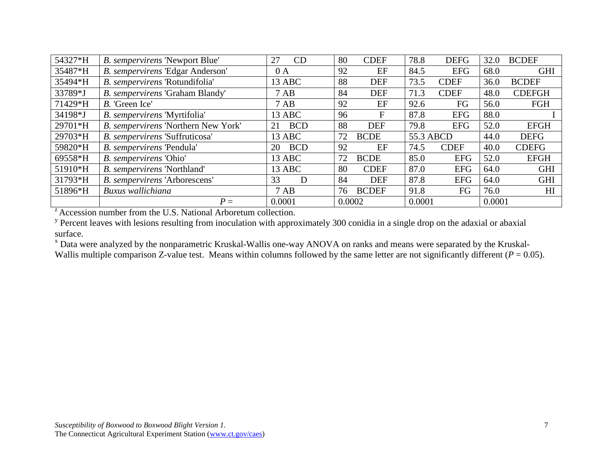| 54327*H                                                       | B. sempervirens 'Newport Blue'      | CD<br>27         | 80     | <b>CDEF</b>  | 78.8      | <b>DEFG</b> | 32.0   | <b>BCDEF</b>   |
|---------------------------------------------------------------|-------------------------------------|------------------|--------|--------------|-----------|-------------|--------|----------------|
| 35487*H                                                       | B. sempervirens 'Edgar Anderson'    | 0A               | 92     | EF           | 84.5      | <b>EFG</b>  | 68.0   | <b>GHI</b>     |
| 35494*H                                                       | B. sempervirens 'Rotundifolia'      | 13 ABC           | 88     | <b>DEF</b>   | 73.5      | <b>CDEF</b> | 36.0   | <b>BCDEF</b>   |
| 33789*J                                                       | B. sempervirens 'Graham Blandy'     | 7AB              | 84     | <b>DEF</b>   | 71.3      | <b>CDEF</b> | 48.0   | <b>CDEFGH</b>  |
| 71429*H                                                       | B. 'Green Ice'                      | 7AB              | 92     | EF           | 92.6      | FG          | 56.0   | FGH            |
| 34198*J                                                       | B. sempervirens 'Myrtifolia'        | 13 ABC           | 96     | F            | 87.8      | <b>EFG</b>  | 88.0   |                |
| 29701*H                                                       | B. sempervirens 'Northern New York' | <b>BCD</b><br>21 | 88     | <b>DEF</b>   | 79.8      | <b>EFG</b>  | 52.0   | <b>EFGH</b>    |
| 29703*H                                                       | B. sempervirens 'Suffruticosa'      | 13 ABC           | 72     | <b>BCDE</b>  | 55.3 ABCD |             | 44.0   | <b>DEFG</b>    |
| 59820*H                                                       | B. sempervirens 'Pendula'           | <b>BCD</b><br>20 | 92     | EF           | 74.5      | <b>CDEF</b> | 40.0   | <b>CDEFG</b>   |
| 69558*H                                                       | B. sempervirens 'Ohio'              | 13 ABC           | 72     | <b>BCDE</b>  | 85.0      | <b>EFG</b>  | 52.0   | <b>EFGH</b>    |
| 51910*H                                                       | B. sempervirens 'Northland'         | 13 ABC           | 80     | <b>CDEF</b>  | 87.0      | <b>EFG</b>  | 64.0   | <b>GHI</b>     |
| 31793*H                                                       | B. sempervirens 'Arborescens'       | 33<br>D          | 84     | <b>DEF</b>   | 87.8      | <b>EFG</b>  | 64.0   | <b>GHI</b>     |
| 51896*H                                                       | Buxus wallichiana                   | 7AB              | 76     | <b>BCDEF</b> | 91.8      | FG          | 76.0   | H <sub>I</sub> |
|                                                               | $P =$                               | 0.0001           | 0.0002 |              | 0.0001    |             | 0.0001 |                |
| Accession number from the U.S. National Arboretum collection. |                                     |                  |        |              |           |             |        |                |

 $\gamma$  Percent leaves with lesions resulting from inoculation with approximately 300 conidia in a single drop on the adaxial or abaxial surface.

<sup>x</sup> Data were analyzed by the nonparametric Kruskal-Wallis one-way ANOVA on ranks and means were separated by the Kruskal-Wallis multiple comparison Z-value test. Means within columns followed by the same letter are not significantly different ( $P = 0.05$ ).